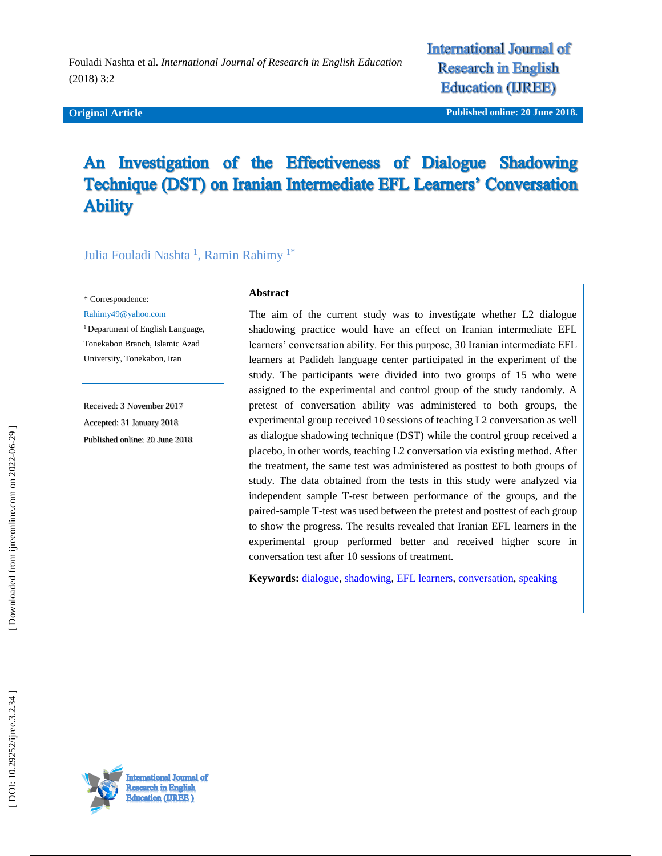#### **Original Article**

**International Journal of Research in English Education (IREE)** 

**iginal Article Published online : 20 June 2018 .**

# An Investigation of the Effectiveness of Dialogue Shadowing Technique (DST) on Iranian Intermediate EFL Learners' Conversation **Ability**

Julia Fouladi Nashta <sup>1</sup>, Ramin Rahimy <sup>1\*</sup>

\* Correspondence:

Rahimy49@yahoo.com

<sup>1</sup> Department of English Language, Tonekabon Branch, Islamic Azad University, Tonekabon, Iran

Received: 3 November 201 7 Accepted: 31 January 201 8 Published online : 20 June 2018

#### **Abstract**

The aim of the current study was to investigate whether L2 dialogue shadowing practice would have an effect on Iranian intermediate EFL learners' conversation ability. For this purpose, 30 Iranian intermediate EFL learners at Padideh language center participated in the experiment of the study. The participants were divided into two groups of 15 who were assigned to the experimental and control group of the study randomly. A pretest of conversation ability was administered to both groups, the experimental group received 10 sessions of teaching L2 conversation as well as dialogue shadowing technique (DST) while the control group received a placebo, in other words, teaching L2 conversation via existing method. After the treatment, the same test was administered as posttest to both groups of study. The data obtained from the tests in this study were analyzed via independent sample T -test between performance of the groups, and the paired -sample T -test was used between the pretest and posttest of each group to show the progress. The results revealed that Iranian EFL learners in the experimental group performed better and received higher score in conversation test after 10 sessions of treatment.

**Keywords:** [dialogue,](https://ijreeonline.com/search.php?sid=1&slc_lang=en&key=dialogue) [shadowing,](https://ijreeonline.com/search.php?sid=1&slc_lang=en&key=shadowing) [EFL learners,](https://ijreeonline.com/search.php?sid=1&slc_lang=en&key=EFL+learners) [conversation,](https://ijreeonline.com/search.php?sid=1&slc_lang=en&key=conversation) [speaking](https://ijreeonline.com/search.php?sid=1&slc_lang=en&key=speaking)

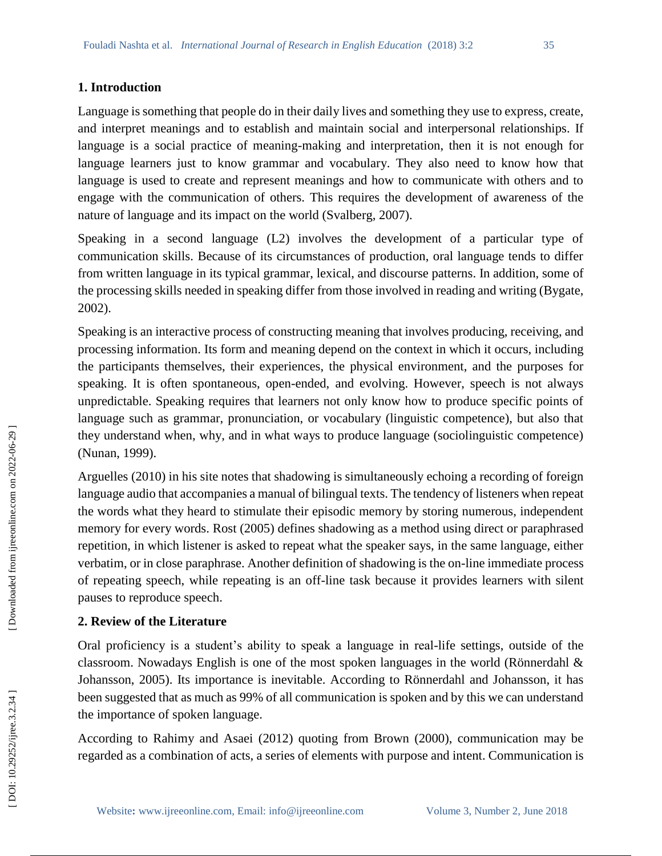## **1. Introduction**

Language is something that people do in their daily lives and something they use to express, create, and interpret meanings and to establish and maintain social and interpersonal relationships. If language is a social practice of meaning -making and interpretation, then it is not enough for language learners just to know grammar and vocabulary. They also need to know how that language is used to create and represent meanings and how to communicate with others and to engage with the communication of others. This requires the development of awareness of the nature of language and its impact on the world (Svalberg, 2007).

Speaking in a second language (L2) involves the development of a particular type of communication skills. Because of its circumstances of production, oral language tends to differ from written language in its typical grammar, lexical, and discourse patterns. In addition, some of the processing skills needed in speaking differ from those involved in reading and writing (Bygate, 2002).

Speaking is an interactive process of constructing meaning that involves producing, receiving, and processing information. Its form and meaning depend on the context in which it occurs, including the participants themselves, their experiences, the physical environment, and the purposes for speaking. It is often spontaneous, open -ended, and evolving. However, speech is not always unpredictable. Speaking requires that learners not only know how to produce specific points of language such as grammar, pronunciation, or vocabulary (linguistic competence), but also that they understand when, why, and in what ways to produce language (sociolinguistic competence) (Nunan, 1999).

Arguelles (2010) in his site notes that shadowing is simultaneously echoing a recording of foreign language audio that accompanies a manual of bilingual texts. The tendency of listeners when repeat the words what they heard to stimulate their episodic memory by storing numerous, independent memory for every words. Rost (2005) defines shadowing as a method using direct or paraphrased repetition, in which listener is asked to repeat what the speaker says, in the same language, either verbatim, or in close paraphrase. Another definition of shadowing is the on -line immediate process of repeating speech, while repeating is an off-line task because it provides learners with silent pauses to reproduce speech.

# **2. Review of the Literature**

Oral proficiency is a student's ability to speak a language in real -life settings, outside of the classroom. Nowadays English is one of the most spoken languages in the world (Rönnerdahl & Johansson, 2005). Its importance is inevitable. According to Rönnerdahl and Johansson, it has been suggested that as much as 99% of all communication is spoken and by this we can understand the importance of spoken language.

According to Rahimy and Asaei (2012) quoting from Brown (2000), communication may be regarded as a combination of acts, a series of elements with purpose and intent. Communication is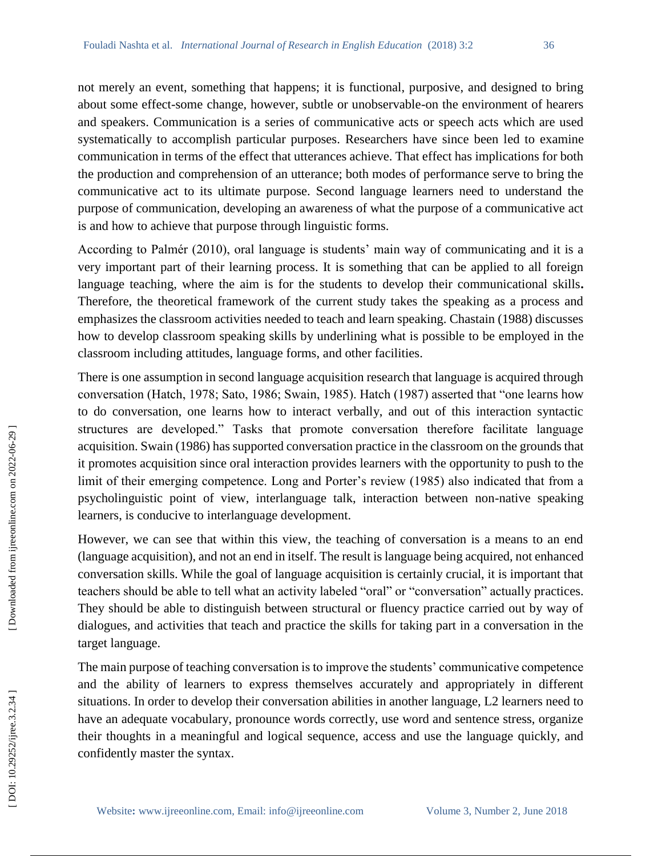not merely an event, something that happens; it is functional, purposive, and designed to bring about some effect -some change, however, subtle or unobservable -on the environment of hearers and speakers. Communication is a series of communicative acts or speech acts which are used systematically to accomplish particular purposes. Researchers have since been led to examine communication in terms of the effect that utterances achieve. That effect has implications for both the production and comprehension of an utterance; both modes of performance serve to bring the communicative act to its ultimate purpose. Second language learners need to understand the purpose of communication, developing an awareness of what the purpose of a communicative act is and how to achieve that purpose through linguistic forms.

According to Palmér (2010), oral language is students' main way of communicating and it is a very important part of their learning process. It is something that can be applied to all foreign language teaching, where the aim is for the students to develop their communicational skills**.**  Therefore, the theoretical framework of the current study takes the speaking as a process and emphasizes the classroom activities needed to teach and learn speaking. Chastain (1988) discusses how to develop classroom speaking skills by underlining what is possible to be employed in the classroom including attitudes, language forms, and other facilities.

There is one assumption in second language acquisition research that language is acquired through conversation (Hatch, 1978; Sato, 1986; Swain, 1985). Hatch (1987) asserted that "one learns how to do conversation, one learns how to interact verbally, and out of this interaction syntactic structures are developed." Tasks that promote conversation therefore facilitate language acquisition. Swain (1986) has supported conversation practice in the classroom on the grounds that it promotes acquisition since oral interaction provides learners with the opportunity to push to the limit of their emerging competence. Long and Porter's review (1985) also indicated that from a psycholinguistic point of view, interlanguage talk, interaction between non -native speaking learners, is conducive to interlanguage development.

However, we can see that within this view, the teaching of conversation is a means to an end (language acquisition), and not an end in itself. The result is language being acquired, not enhanced conversation skills. While the goal of language acquisition is certainly crucial, it is important that teachers should be able to tell what an activity labeled "oral" or "conversation" actually practices. They should be able to distinguish between structural or fluency practice carried out by way of dialogues, and activities that teach and practice the skills for taking part in a conversation in the target language.

The main purpose of teaching conversation is to improve the students' communicative competence and the ability of learners to express themselves accurately and appropriately in different situations. In order to develop their conversation abilities in another language, L2 learners need to have an adequate vocabulary, pronounce words correctly, use word and sentence stress, organize their thoughts in a meaningful and logical sequence, access and use the language quickly, and confidently master the syntax.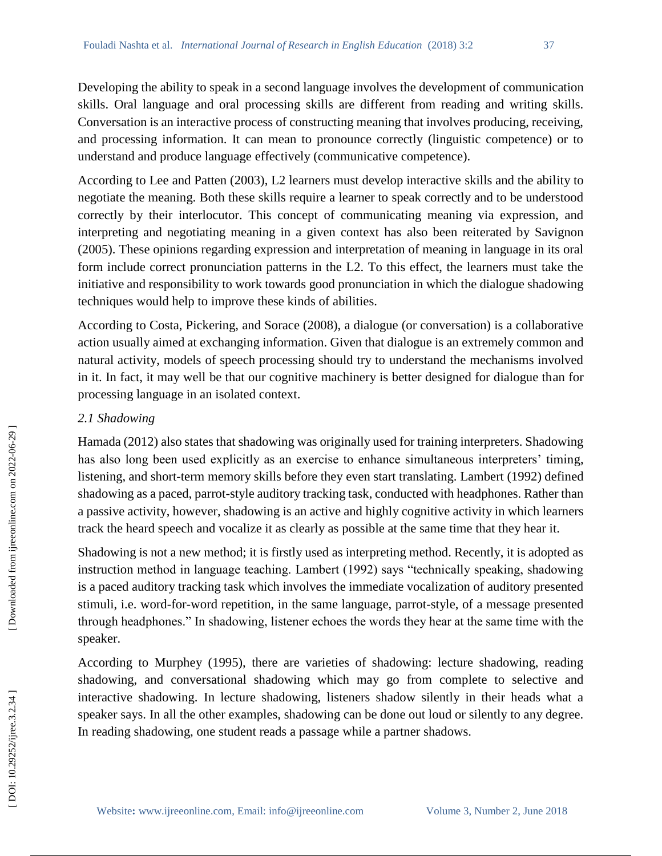Developing the ability to speak in a second language involves the development of communication skills. Oral language and oral processing skills are different from reading and writing skills. Conversation is an interactive process of constructing meaning that involves producing, receiving, and processing information. It can mean to pronounce correctly (linguistic competence) or to understand and produce language effectively (communicative competence).

According to Lee and Patten (2003), L2 learners must develop interactive skills and the ability to negotiate the meaning. Both these skills require a learner to speak correctly and to be understood correctly by their interlocutor. This concept of communicating meaning via expression, and interpreting and negotiating meaning in a given context has also been reiterated by Savignon (2005). These opinions regarding expression and interpretation of meaning in language in its oral form include correct pronunciation patterns in the L2. To this effect, the learners must take the initiative and responsibility to work towards good pronunciation in which the dialogue shadowing techniques would help to improve these kinds of abilities.

According to Costa, Pickering, and Sorace (2008), a dialogue (or conversation) is a collaborative action usually aimed at exchanging information. Given that dialogue is an extremely common and natural activity, models of speech processing should try to understand the mechanisms involved in it. In fact, it may well be that our cognitive machinery is better designed for dialogue than for processing language in an isolated context.

## *2.1 Shadowing*

Hamada (2012) also states that shadowing was originally used for training interpreters. Shadowing has also long been used explicitly as an exercise to enhance simultaneous interpreters' timing, listening, and short -term memory skills before they even start translating. Lambert (1992) defined shadowing as a paced, parrot-style auditory tracking task, conducted with headphones. Rather than a passive activity, however, shadowing is an active and highly cognitive activity in which learners track the heard speech and vocalize it as clearly as possible at the same time that they hear it.

Shadowing is not a new method; it is firstly used as interpreting method. Recently, it is adopted as instruction method in language teaching. Lambert (1992) says "technically speaking, shadowing is a paced auditory tracking task which involves the immediate vocalization of auditory presented stimuli, i.e. word -for -word repetition, in the same language, parrot -style, of a message presented through headphones." In shadowing, listener echoes the words they hear at the same time with the speaker.

According to Murphey (1995), there are varieties of shadowing: lecture shadowing, reading shadowing, and conversational shadowing which may go from complete to selective and interactive shadowing. In lecture shadowing, listeners shadow silently in their heads what a speaker says. In all the other examples, shadowing can be done out loud or silently to any degree. In reading shadowing, one student reads a passage while a partner shadows.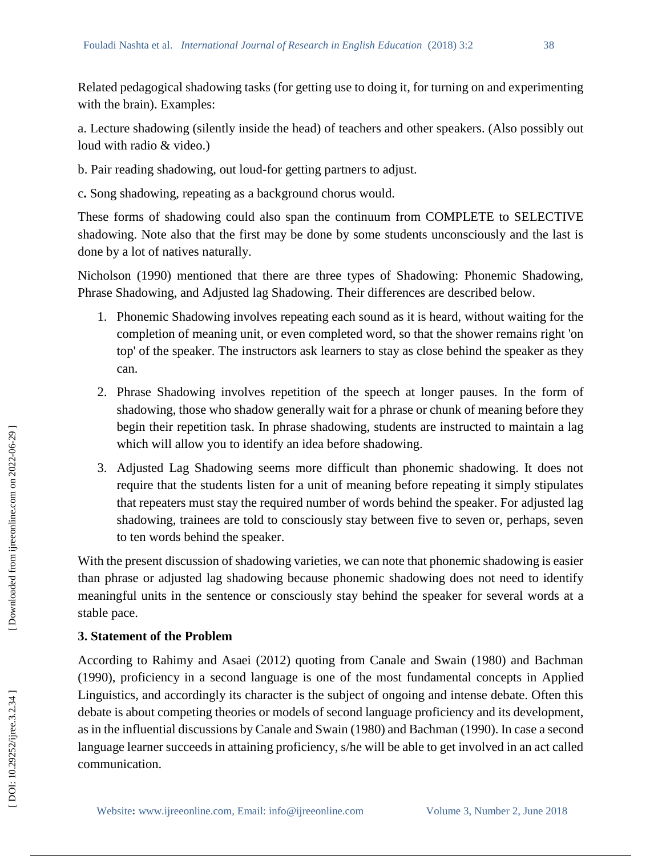Related pedagogical shadowing tasks (for getting use to doing it, for turning on and experimenting with the brain). Examples:

a. Lecture shadowing (silently inside the head) of teachers and other speakers. (Also possibly out loud with radio & video.)

- b. Pair reading shadowing, out loud -for getting partners to adjust.
- c **.** Song shadowing, repeating as a background chorus would.

These forms of shadowing could also span the continuum from COMPLETE to SELECTIVE shadowing. Note also that the first may be done by some students unconsciously and the last is done by a lot of natives naturally.

Nicholson (1990) mentioned that there are three types of Shadowing: Phonemic Shadowing, Phrase Shadowing, and Adjusted lag Shadowing. Their differences are described below.

- 1. Phonemic Shadowing involves repeating each sound as it is heard, without waiting for the completion of meaning unit, or even completed word, so that the shower remains right 'on top' of the speaker. The instructors ask learners to stay as close behind the speaker as they can.
- 2 . Phrase Shadowing involves repetition of the speech at longer pauses. In the form of shadowing, those who shadow generally wait for a phrase or chunk of meaning before they begin their repetition task. In phrase shadowing, students are instructed to maintain a lag which will allow you to identify an idea before shadowing.
- 3 . Adjusted Lag Shadowing seems more difficult than phonemic shadowing. It does not require that the students listen for a unit of meaning before repeating it simply stipulates that repeaters must stay the required number of words behind the speaker. For adjusted lag shadowing, trainees are told to consciously stay between five to seven or, perhaps, seven to ten words behind the speaker.

With the present discussion of shadowing varieties, we can note that phonemic shadowing is easier than phrase or adjusted lag shadowing because phonemic shadowing does not need to identify meaningful units in the sentence or consciously stay behind the speaker for several words at a stable pace.

## **3. Statement of the Problem**

According to Rahimy and Asaei (2012) quoting from Canale and Swain (1980) and Bachman (1990), proficiency in a second language is one of the most fundamental concepts in Applied Linguistics, and accordingly its character is the subject of ongoing and intense debate. Often this debate is about competing theories or models of second language proficiency and its development, as in the influential discussions by Canale and Swain (1980) and Bachman (1990). In case a second language learner succeeds in attaining proficiency, s/he will be able to get involved in an act called communication.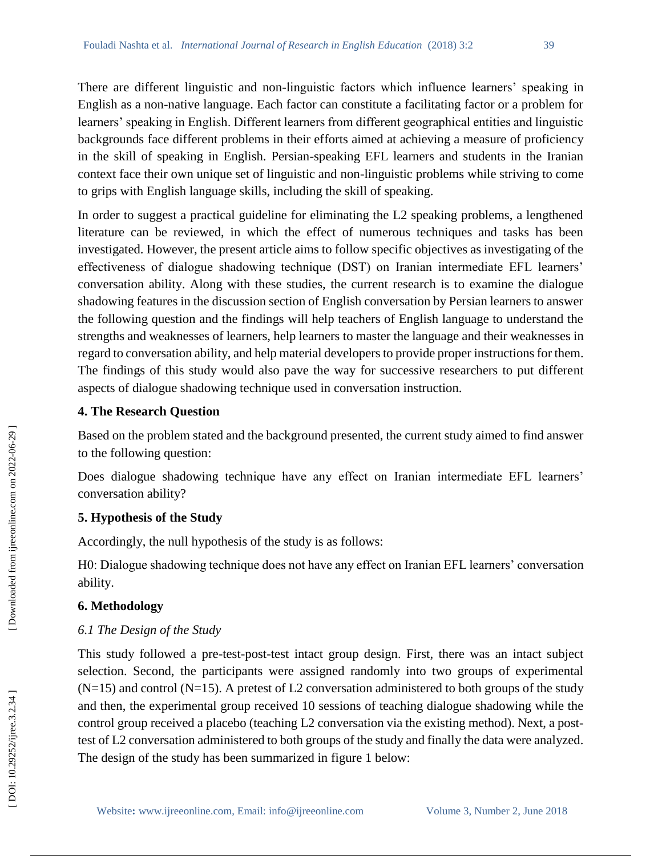There are different linguistic and non -linguistic factors which influence learners' speaking in English as a non -native language. Each factor can constitute a facilitating factor or a problem for learners' speaking in English. Different learners from different geographical entities and linguistic backgrounds face different problems in their efforts aimed at achieving a measure of proficiency in the skill of speaking in English. Persian -speaking EFL learners and students in the Iranian context face their own unique set of linguistic and non -linguistic problems while striving to come to grips with English language skills, including the skill of speaking.

In order to suggest a practical guideline for eliminating the L2 speaking problems, a lengthened literature can be reviewed, in which the effect of numerous techniques and tasks has been investigated. However, the present article aims to follow specific objectives as investigating of the effectiveness of dialogue shadowing technique (DST) on Iranian intermediate EFL learners' conversation ability. Along with these studies, the current research is to examine the dialogue shadowing features in the discussion section of English conversation by Persian learners to answer the following question and the findings will help teachers of English language to understand the strengths and weaknesses of learners, help learners to master the language and their weaknesses in regard to conversation ability, and help material developers to provide proper instructions for them. The findings of this study would also pave the way for successive researchers to put different aspects of dialogue shadowing technique used in conversation instruction.

## **4. The Research Question**

Based on the problem stated and the background presented, the current study aimed to find answer to the following question:

Does dialogue shadowing technique have any effect on Iranian intermediate EFL learners' conversation ability?

# **5. Hypothesis of the Study**

Accordingly, the null hypothesis of the study is as follows:

H0: Dialogue shadowing technique does not have any effect on Iranian EFL learners' conversation ability.

# **6. Methodology**

# *6.1 The Design of the Study*

This study followed a pre -test -post -test intact group design. First, there was an intact subject selection. Second, the participants were assigned randomly into two groups of experimental  $(N=15)$  and control  $(N=15)$ . A pretest of L2 conversation administered to both groups of the study and then, the experimental group received 10 sessions of teaching dialogue shadowing while the control group received a placebo (teaching L2 conversation via the existing method). Next, a post test of L2 conversation administered to both groups of the study and finally the data were analyzed. The design of the study has been summarized in figure 1 below: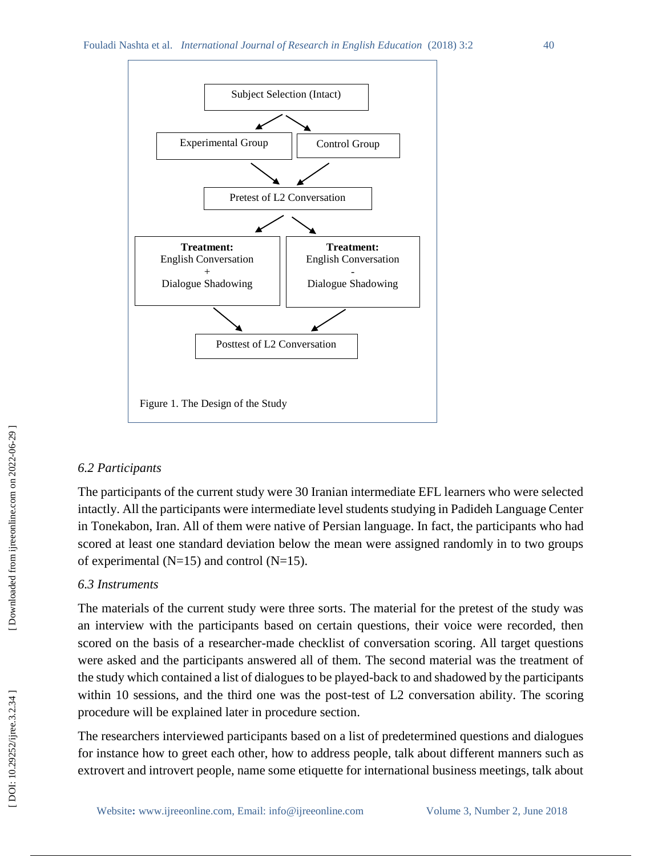

### *6.2 Participants*

The participants of the current study were 30 Iranian intermediate EFL learners who were selected intactly. All the participants were intermediate level students studying in Padideh Language Center in Tonekabon, Iran. All of them were native of Persian language. In fact, the participants who had scored at least one standard deviation below the mean were assigned randomly in to two groups of experimental ( $N=15$ ) and control ( $N=15$ ).

### *6.3 Instruments*

The materials of the current study were three sorts. The material for the pretest of the study was an interview with the participants based on certain questions, their voice were recorded, then scored on the basis of a researcher -made checklist of conversation scoring. All target questions were asked and the participants answered all of them. The second material was the treatment of the study which contained a list of dialogues to be played -back to and shadowed by the participants within 10 sessions, and the third one was the post-test of L2 conversation ability. The scoring procedure will be explained later in procedure section.

The researchers interviewed participants based on a list of predetermined questions and dialogues for instance how to greet each other, how to address people, talk about different manners such as extrovert and introvert people, name some etiquette for international business meetings, talk about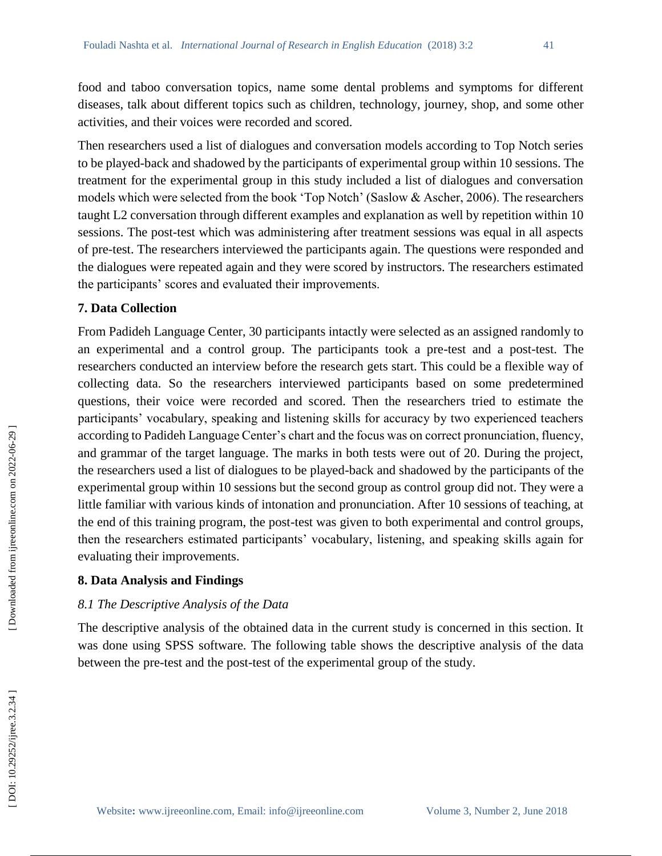food and taboo conversation topics, name some dental problems and symptoms for different diseases, talk about different topics such as children, technology, journey, shop, and some other activities, and their voices were recorded and scored.

Then researchers used a list of dialogues and conversation models according to Top Notch series to be played -back and shadowed by the participants of experimental group within 10 sessions. The treatment for the experimental group in this study included a list of dialogues and conversation models which were selected from the book 'Top Notch' (Saslow & Ascher, 2006). The researchers taught L2 conversation through different examples and explanation as well by repetition within 10 sessions. The post-test which was administering after treatment sessions was equal in all aspects of pre -test. The researchers interviewed the participants again. The questions were responded and the dialogues were repeated again and they were scored by instructors. The researchers estimated the participants' scores and evaluated their improvements.

### **7. Data Collection**

From Padideh Language Center, 30 participants intactly were selected as an assigned randomly to an experimental and a control group. The participants took a pre -test and a post -test. The researchers conducted an interview before the research gets start. This could be a flexible way of collecting data. So the researchers interviewed participants based on some predetermined questions, their voice were recorded and scored. Then the researchers tried to estimate the participants' vocabulary, speaking and listening skills for accuracy by two experienced teachers according to Padideh Language Center's chart and the focus was on correct pronunciation, fluency, and grammar of the target language. The marks in both tests were out of 20. During the project, the researchers used a list of dialogues to be played -back and shadowed by the participants of the experimental group within 10 sessions but the second group as control group did not. They were a little familiar with various kinds of intonation and pronunciation. After 10 sessions of teaching, at the end of this training program, the post -test was given to both experimental and control groups, then the researchers estimated participants' vocabulary, listening, and speaking skills again for evaluating their improvements.

### **8. Data Analysis and Findings**

## *8.1 The Descriptive Analysis of the Data*

The descriptive analysis of the obtained data in the current study is concerned in this section. It was done using SPSS software. The following table shows the descriptive analysis of the data between the pre -test and the post -test of the experimental group of the study.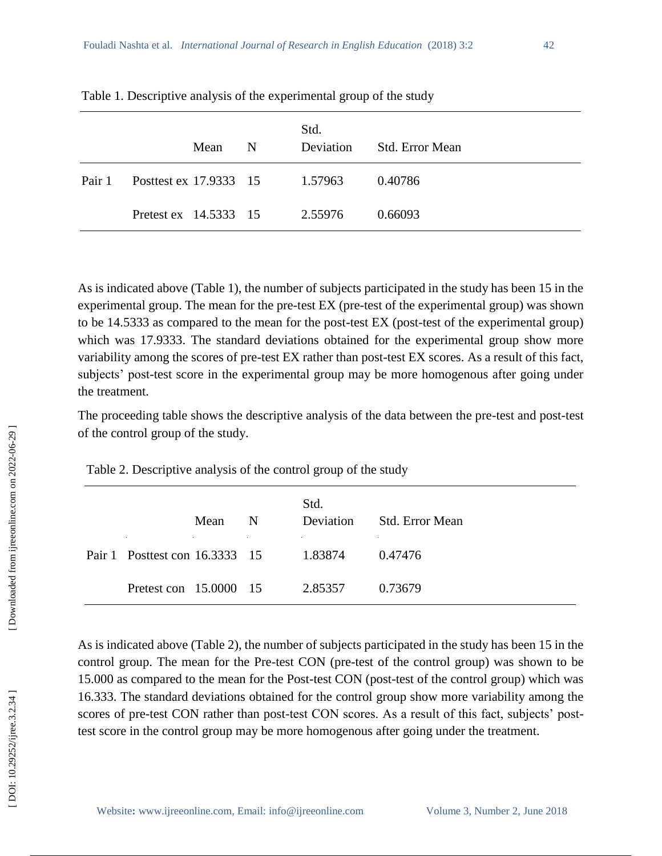|        |                                | Mean | -N | Std.<br>Deviation | <b>Std. Error Mean</b> |
|--------|--------------------------------|------|----|-------------------|------------------------|
| Pair 1 | Posttest ex 17.9333 15 1.57963 |      |    |                   | 0.40786                |
|        | Pretest ex 14.5333 15          |      |    | 2.55976           | 0.66093                |

Table 1 . Descriptive analysis of the experimental group of the study

As is indicated above (Table 1), the number of subjects participated in the study has been 15 in the experimental group. The mean for the pre-test EX (pre-test of the experimental group) was shown to be 14.5333 as compared to the mean for the post -test EX (post -test of the experimental group) which was 17.9333. The standard deviations obtained for the experimental group show more variability among the scores of pre -test EX rather than post -test EX scores. As a result of this fact, subjects' post-test score in the experimental group may be more homogenous after going under the treatment.

The proceeding table shows the descriptive analysis of the data between the pre -test and post -test of the control group of the study.

Table 2 . Descriptive analysis of the control group of the study

|                                        | Mean | N | Std.<br>Deviation | - Std. Error Mean |
|----------------------------------------|------|---|-------------------|-------------------|
| Pair 1 Posttest con 16.3333 15 1.83874 |      |   |                   | 0.47476           |
| Pretest con 15,0000 15                 |      |   | 2.85357           | 0.73679           |

As is indicated above (Table 2), the number of subjects participated in the study has been 15 in the control group. The mean for the Pre -test CON (pre -test of the control group) was shown to be 15.000 as compared to the mean for the Post -test CON (post -test of the control group) which was 16.333. The standard deviations obtained for the control group show more variability among the scores of pre-test CON rather than post-test CON scores. As a result of this fact, subjects' posttest score in the control group may be more homogenous after going under the treatment.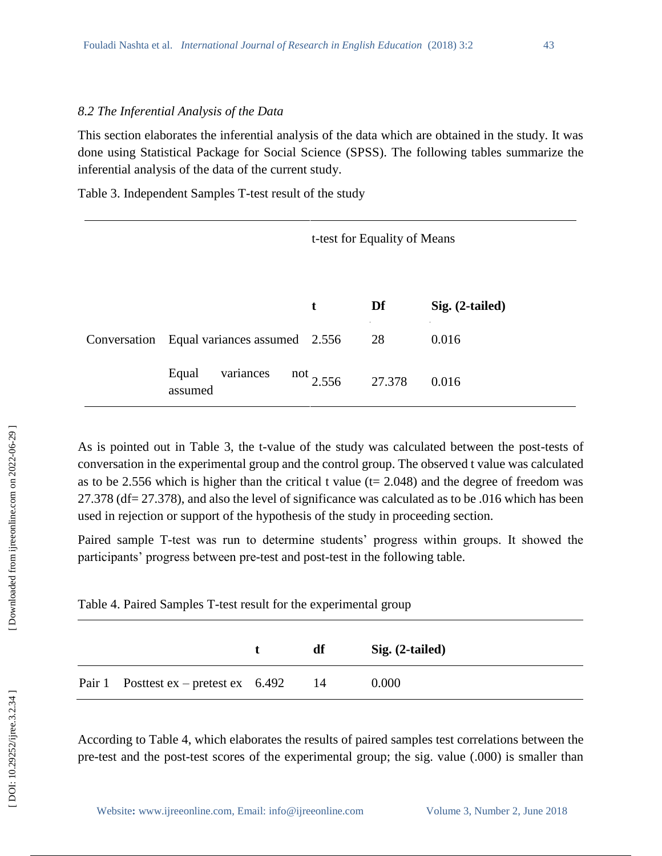#### *8.2 The Inferential Analysis of the Data*

This section elaborates the inferential analysis of the data which are obtained in the study. It was done using Statistical Package for Social Science (SPSS). The following tables summarize the inferential analysis of the data of the current study.

Table 3 . Independent Samples T -test result of the study

|       |                                                                                                                                                                                                                                      |                         | t-test for Equality of Means |                 |                                                                                                                                                                                                        |  |  |
|-------|--------------------------------------------------------------------------------------------------------------------------------------------------------------------------------------------------------------------------------------|-------------------------|------------------------------|-----------------|--------------------------------------------------------------------------------------------------------------------------------------------------------------------------------------------------------|--|--|
|       |                                                                                                                                                                                                                                      |                         | t                            | Df              | Sig. (2-tailed)                                                                                                                                                                                        |  |  |
|       | Conversation                                                                                                                                                                                                                         | Equal variances assumed | 2.556                        | 28              | 0.016                                                                                                                                                                                                  |  |  |
|       | Equal<br>assumed                                                                                                                                                                                                                     | variances               | not $2.556$                  | 27.378          | 0.016                                                                                                                                                                                                  |  |  |
|       | sed in rejection or support of the hypothesis of the study in proceeding section.<br>articipants' progress between pre-test and post-test in the following table.<br>able 4. Paired Samples T-test result for the experimental group |                         |                              |                 | 7.378 (df = 27.378), and also the level of significance was calculated as to be .016 which has been<br>aired sample T-test was run to determine students' progress within groups. It showed the        |  |  |
|       |                                                                                                                                                                                                                                      | t                       | df                           | Sig. (2-tailed) |                                                                                                                                                                                                        |  |  |
| air 1 | Posttest $ex$ – pretest $ex$                                                                                                                                                                                                         | 6.492                   | 14                           | 0.000           |                                                                                                                                                                                                        |  |  |
|       |                                                                                                                                                                                                                                      |                         |                              |                 | coording to Table 4, which elaborates the results of paired samples test correlations between the<br>re-test and the post-test scores of the experimental group; the sig. value (.000) is smaller than |  |  |

| Table 4. Paired Samples T-test result for the experimental group |  |  |  |
|------------------------------------------------------------------|--|--|--|
|------------------------------------------------------------------|--|--|--|

|                                            | df | Sig. (2-tailed) |  |
|--------------------------------------------|----|-----------------|--|
| Pair 1 Posttest ex – pretest ex $6.492$ 14 |    | 0.000           |  |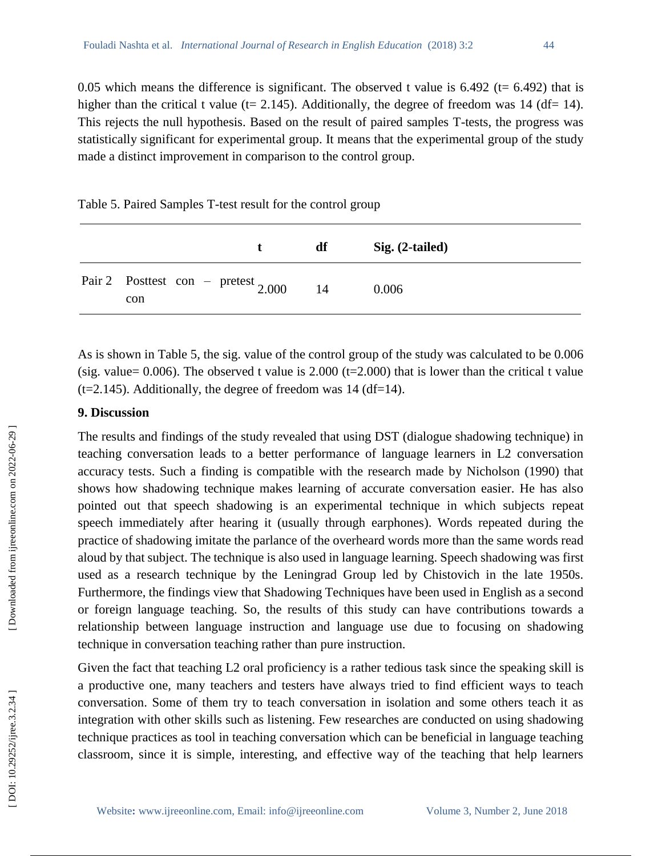0.05 which means the difference is significant. The observed t value is  $6.492$  (t=  $6.492$ ) that is higher than the critical t value (t= 2.145). Additionally, the degree of freedom was 14 (df= 14). This rejects the null hypothesis. Based on the result of paired samples T -tests, the progress was statistically significant for experimental group. It means that the experimental group of the study made a distinct improvement in comparison to the control group.

Table 5 . Paired Samples T -test result for the control group

|                                                 | т. | df | $Sig. (2-tailed)$ |
|-------------------------------------------------|----|----|-------------------|
| Pair 2 Posttest con – pretest $_{2.000}$<br>con |    | 14 | 0.006             |

As is shown in Table 5, the sig. value of the control group of the study was calculated to be 0.006 (sig. value=  $0.006$ ). The observed t value is  $2.000$  (t= $2.000$ ) that is lower than the critical t value  $(t=2.145)$ . Additionally, the degree of freedom was 14 (df=14).

### **9. Discussion**

The results and findings of the study revealed that using DST (dialogue shadowing technique) in teaching conversation leads to a better performance of language learners in L2 conversation accuracy tests. Such a finding is compatible with the research made by Nicholson (1990) that shows how shadowing technique makes learning of accurate conversation easier. He has also pointed out that speech shadowing is an experimental technique in which subjects [repeat](https://en.wikipedia.org/wiki/Speech_repetition)  [speech](https://en.wikipedia.org/wiki/Speech_repetition) immediately after hearing it (usually through [earphones\)](https://en.wikipedia.org/wiki/Earphones). Words repeated during the practice of shadowing imitate the parlance of the overheard words more than the same words read aloud by that subject. The technique is also used in [language learning.](https://en.wikipedia.org/wiki/Language_learning) Speech shadowing was first used as a research technique by the Leningrad Group led by Chistovich in the late 1950s. Furthermore, the findings view that Shadowing Techniques have been used in English as a second or foreign language teaching. So, the results of this study can have contributions towards a relationship between language instruction and language use due to focusing on shadowing technique in conversation teaching rather than pure instruction. classroom, since it is simple, interesting, and effective way of the teaching that help learners **t df Sig. (2-tailed)**

Given the fact that teaching L2 oral proficiency is a rather tedious task since the speaking skill is a productive one, many teachers and testers have always tried to find efficient ways to teach conversation. Some of them try to teach conversation in isolation and some others teach it as integration with other skills such as listening. Few researches are conducted on using shadowing technique practices as tool in teaching conversation which can be beneficial in language teaching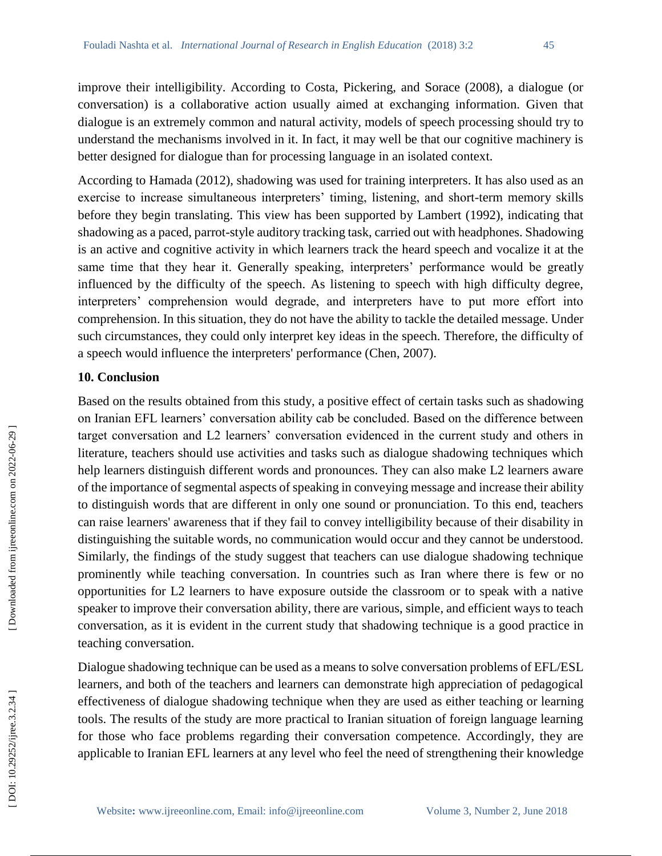improve their intelligibility. According to Costa, Pickering, and Sorace (2008), a dialogue (or conversation) is a collaborative action usually aimed at exchanging information. Given that dialogue is an extremely common and natural activity, models of speech processing should try to understand the mechanisms involved in it. In fact, it may well be that our cognitive machinery is better designed for dialogue than for processing language in an isolated context.

According to Hamada (2012), shadowing was used for training interpreters. It has also used as an exercise to increase simultaneous interpreters' timing, listening, and short -term memory skills before they begin translating. This view has been supported by Lambert (1992), indicating that shadowing as a paced, parrot-style auditory tracking task, carried out with headphones. Shadowing is an active and cognitive activity in which learners track the heard speech and vocalize it at the same time that they hear it. Generally speaking, interpreters' performance would be greatly influenced by the difficulty of the speech. As listening to speech with high difficulty degree, interpreters' comprehension would degrade, and interpreters have to put more effort into comprehension. In this situation, they do not have the ability to tackle the detailed message. Under such circumstances, they could only interpret key ideas in the speech. Therefore, the difficulty of a speech would influence the interpreters' performance (Chen, 2007).

### **10. Conclusion**

Based on the results obtained from this study, a positive effect of certain tasks such as shadowing on Iranian EFL learners' conversation ability cab be concluded. Based on the difference between target conversation and L2 learners' conversation evidenced in the current study and others in literature, teachers should use activities and tasks such as dialogue shadowing techniques which help learners distinguish different words and pronounces. They can also make L2 learners aware of the importance of segmental aspects of speaking in conveying message and increase their ability to distinguish words that are different in only one sound or pronunciation. To this end, teachers can raise learners' awareness that if they fail to convey intelligibility because of their disability in distinguishing the suitable words, no communication would occur and they cannot be understood. Similarly, the findings of the study suggest that teachers can use dialogue shadowing technique prominently while teaching conversation. In countries such as Iran where there is few or no opportunities for L2 learners to have exposure outside the classroom or to speak with a native speaker to improve their conversation ability, there are various, simple, and efficient ways to teach conversation, as it is evident in the current study that shadowing technique is a good practice in teaching conversation.

Dialogue shadowing technique can be used as a means to solve conversation problems of EFL/ESL learners, and both of the teachers and learners can demonstrate high appreciation of pedagogical effectiveness of dialogue shadowing technique when they are used as either teaching or learning tools. The results of the study are more practical to Iranian situation of foreign language learning for those who face problems regarding their conversation competence. Accordingly, they are applicable to Iranian EFL learners at any level who feel the need of strengthening their knowledge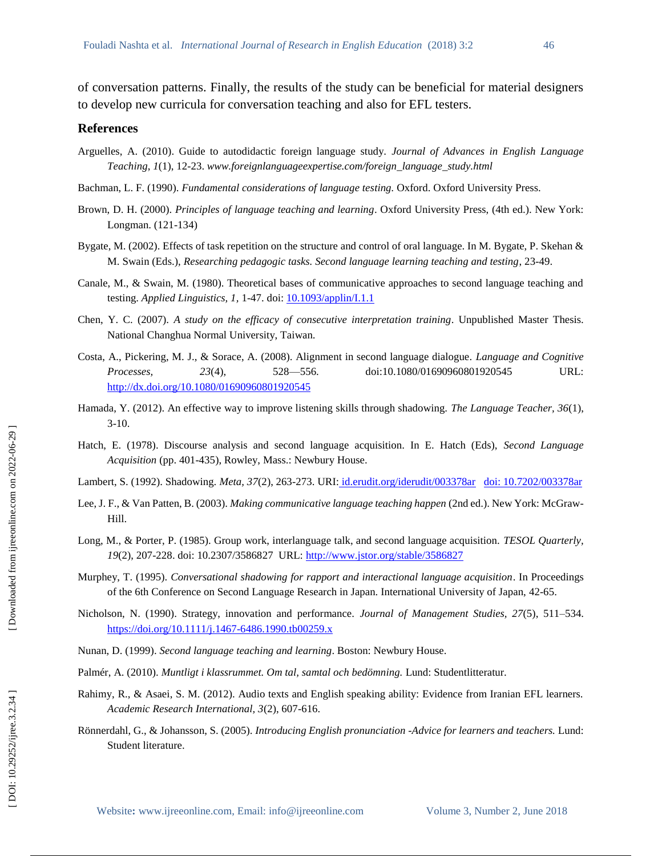of conversation patterns. Finally, the results of the study can be beneficial for material designers to develop new curricula for conversation teaching and also for EFL testers.

#### **References**

- Arguelles, A. (2010). Guide to autodidactic foreign language study. *Journal of Advances in English Language Teaching*, *1*(1), 12 -23. *www.foreignlanguageexpertise.com/foreign\_language\_study.html*
- Bachman, L. F. (1990). *Fundamental considerations of language testing.* Oxford. Oxford University Press.
- Brown, D. H. (2000). *Principles of language teaching and learning*. Oxford University Press, (4th ed.). New York: Longman. (121 -134)
- Bygate, M. (2002). Effects of task repetition on the structure and control of oral language. In M. Bygate, P. Skehan & M. Swain (Eds.), *Researching pedagogic tasks. Second language learning teaching and testing*, 23 -49.
- Canale, M., & Swain, M. (1980). Theoretical bases of communicative approaches to second language teaching and testing. *Applied Linguistics, 1,* 1 -47. doi:<10.1093/applin/I.1.1>
- Chen, Y. C. (2007). *A study on the efficacy of consecutive interpretation training*. Unpublished Master Thesis. National Changhua Normal University, Taiwan.
- Costa, A., Pickering, M. J., & Sorace, A. (2008). Alignment in second language dialogue. *Language and Cognitive Processes.* 23(4), 528–556. doi:10.1080/01690960801920545 URL: <http://dx.doi.org/10.1080/01690960801920545>
- Hamada, Y. (2012). An effective way to improve listening skills through shadowing. *The Language Teacher, 36*(1), 3-10.
- Hatch, E. (1978). Discourse analysis and second language acquisition. In E. Hatch (Eds), *Second Language Acquisition* (pp. 401 -435), Rowley, Mass.: Newbury House.
- Lambert, S. (1992). Shadowing. *Meta, 37*(2), 263 -273. URI: <id.erudit.org/iderudit/003378ar>[doi: 10.7202/003378ar](doi:%2010.7202/003378ar)
- Lee, J. F., & Van Patten, B. (2003). *Making communicative language teaching happen* (2nd ed.). New York: McGraw Hill.
- Long, M., & Porter, P. (1985). Group work, interlanguage talk, and second language acquisition. *TESOL Quarterly,*  19(2), 207-228. doi: 10.2307/3586827 URL:<http://www.jstor.org/stable/3586827>
- Murphey, T. (1995). *Conversational shadowing for rapport and interactional language acquisition*. In Proceedings of the 6th Conference on Second Language Research in Japan. International University of Japan, 42 -65 .
- Nicholson, N. (1990). Strategy, innovation and performance. *Journal of Management Studies, 27*(5), 511 –534. [https://doi.org/10.1111/j.1467](https://doi.org/10.1111/j.1467-6486.1990.tb00259.x)-6486.1990.tb00259.x
- Nunan, D. (1999). *Second language teaching and learning*. Boston: Newbury House.
- Palmér, A. (2010). *Muntligt i klassrummet. Om tal, samtal och bedömning.* Lund: Studentlitteratur.
- Rahimy, R., & Asaei, S. M. (2012). Audio texts and English speaking ability: Evidence from Iranian EFL learners. *Academic Research International, 3*(2), 607 -616.
- Rönnerdahl, G., & Johansson, S. (2005). *Introducing English pronunciation -Advice for learners and teachers.* Lund: Student literature.

Downloaded from ijreeonline.com on 2022-06-29